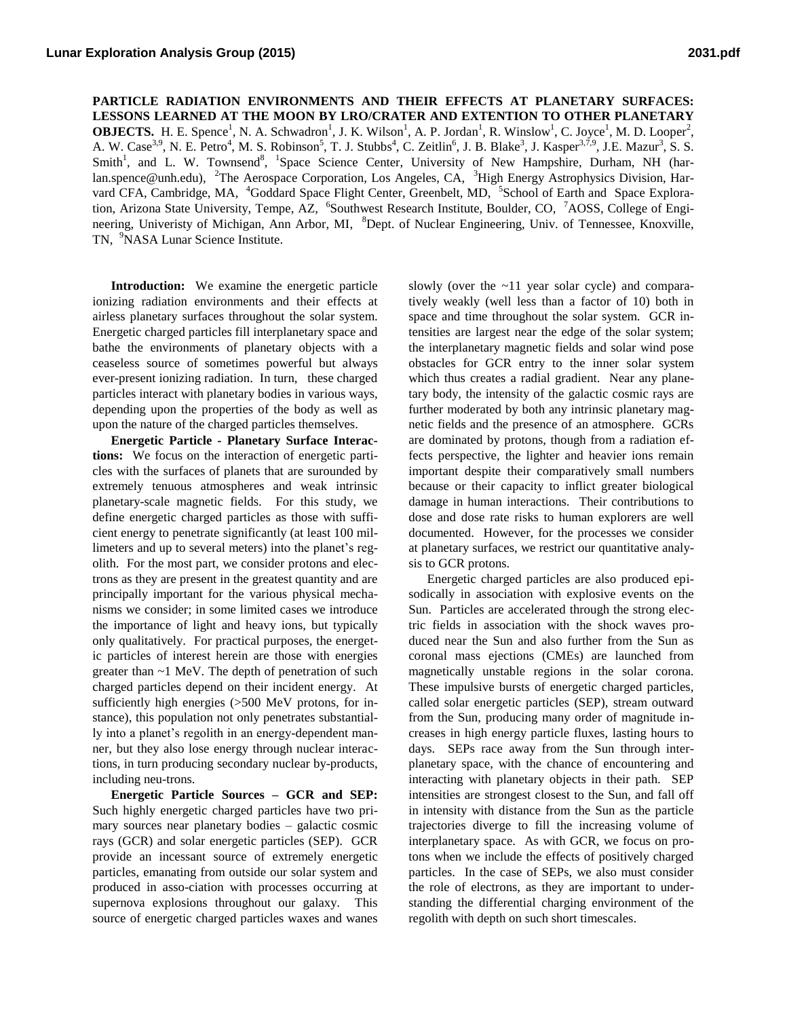**PARTICLE RADIATION ENVIRONMENTS AND THEIR EFFECTS AT PLANETARY SURFACES: LESSONS LEARNED AT THE MOON BY LRO/CRATER AND EXTENTION TO OTHER PLANETARY OBJECTS.** H. E. Spence<sup>1</sup>, N. A. Schwadron<sup>1</sup>, J. K. Wilson<sup>1</sup>, A. P. Jordan<sup>1</sup>, R. Winslow<sup>1</sup>, C. Joyce<sup>1</sup>, M. D. Looper<sup>2</sup>, A. W. Case<sup>3,9</sup>, N. E. Petro<sup>4</sup>, M. S. Robinson<sup>5</sup>, T. J. Stubbs<sup>4</sup>, C. Zeitlin<sup>6</sup>, J. B. Blake<sup>3</sup>, J. Kasper<sup>3,7,9</sup>, J.E. Mazur<sup>3</sup>, S. S. Smith<sup>1</sup>, and L. W. Townsend<sup>8</sup>, <sup>1</sup>Space Science Center, University of New Hampshire, Durham, NH (harlan.spence@unh.edu), <sup>2</sup>The Aerospace Corporation, Los Angeles, CA, <sup>3</sup>High Energy Astrophysics Division, Harvard CFA, Cambridge, MA, <sup>4</sup>Goddard Space Flight Center, Greenbelt, MD, <sup>5</sup>School of Earth and Space Exploration, Arizona State University, Tempe, AZ, <sup>6</sup>Southwest Research Institute, Boulder, CO, <sup>7</sup>AOSS, College of Engineering, Univeristy of Michigan, Ann Arbor, MI, <sup>8</sup>Dept. of Nuclear Engineering, Univ. of Tennessee, Knoxville, TN, <sup>9</sup>NASA Lunar Science Institute.

**Introduction:** We examine the energetic particle ionizing radiation environments and their effects at airless planetary surfaces throughout the solar system. Energetic charged particles fill interplanetary space and bathe the environments of planetary objects with a ceaseless source of sometimes powerful but always ever-present ionizing radiation. In turn, these charged particles interact with planetary bodies in various ways, depending upon the properties of the body as well as upon the nature of the charged particles themselves.

**Energetic Particle - Planetary Surface Interactions:** We focus on the interaction of energetic particles with the surfaces of planets that are surounded by extremely tenuous atmospheres and weak intrinsic planetary-scale magnetic fields. For this study, we define energetic charged particles as those with sufficient energy to penetrate significantly (at least 100 millimeters and up to several meters) into the planet's regolith. For the most part, we consider protons and electrons as they are present in the greatest quantity and are principally important for the various physical mechanisms we consider; in some limited cases we introduce the importance of light and heavy ions, but typically only qualitatively. For practical purposes, the energetic particles of interest herein are those with energies greater than ~1 MeV. The depth of penetration of such charged particles depend on their incident energy. At sufficiently high energies (>500 MeV protons, for instance), this population not only penetrates substantially into a planet's regolith in an energy-dependent manner, but they also lose energy through nuclear interactions, in turn producing secondary nuclear by-products, including neu-trons.

**Energetic Particle Sources – GCR and SEP:** Such highly energetic charged particles have two primary sources near planetary bodies – galactic cosmic rays (GCR) and solar energetic particles (SEP). GCR provide an incessant source of extremely energetic particles, emanating from outside our solar system and produced in asso-ciation with processes occurring at supernova explosions throughout our galaxy. This source of energetic charged particles waxes and wanes

slowly (over the ~11 year solar cycle) and comparatively weakly (well less than a factor of 10) both in space and time throughout the solar system. GCR intensities are largest near the edge of the solar system; the interplanetary magnetic fields and solar wind pose obstacles for GCR entry to the inner solar system which thus creates a radial gradient. Near any planetary body, the intensity of the galactic cosmic rays are further moderated by both any intrinsic planetary magnetic fields and the presence of an atmosphere. GCRs are dominated by protons, though from a radiation effects perspective, the lighter and heavier ions remain important despite their comparatively small numbers because or their capacity to inflict greater biological damage in human interactions. Their contributions to dose and dose rate risks to human explorers are well documented. However, for the processes we consider at planetary surfaces, we restrict our quantitative analysis to GCR protons.

Energetic charged particles are also produced episodically in association with explosive events on the Sun. Particles are accelerated through the strong electric fields in association with the shock waves produced near the Sun and also further from the Sun as coronal mass ejections (CMEs) are launched from magnetically unstable regions in the solar corona. These impulsive bursts of energetic charged particles, called solar energetic particles (SEP), stream outward from the Sun, producing many order of magnitude increases in high energy particle fluxes, lasting hours to days. SEPs race away from the Sun through interplanetary space, with the chance of encountering and interacting with planetary objects in their path. SEP intensities are strongest closest to the Sun, and fall off in intensity with distance from the Sun as the particle trajectories diverge to fill the increasing volume of interplanetary space. As with GCR, we focus on protons when we include the effects of positively charged particles. In the case of SEPs, we also must consider the role of electrons, as they are important to understanding the differential charging environment of the regolith with depth on such short timescales.